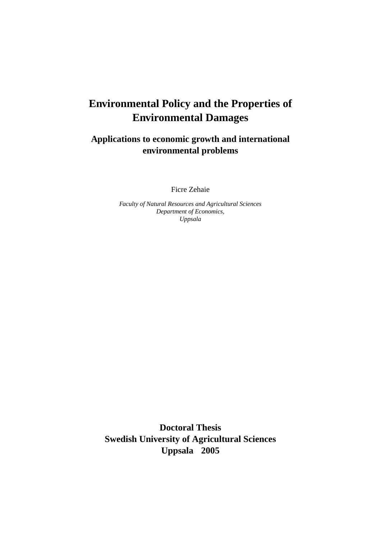# **Environmental Policy and the Properties of Environmental Damages**

**Applications to economic growth and international environmental problems**

Ficre Zehaie

*Faculty of Natural Resources and Agricultural Sciences Department of Economics, Uppsala*

**Doctoral Thesis Swedish University of Agricultural Sciences Uppsala 2005**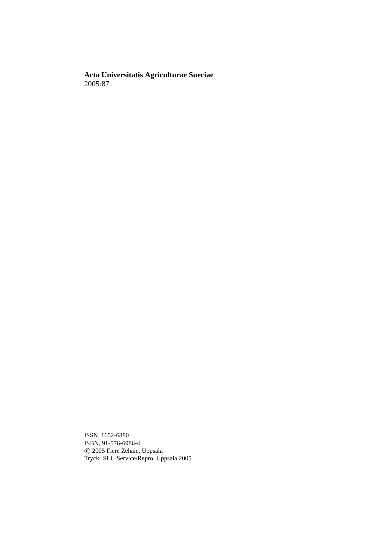**Acta Universitatis Agriculturae Sueciae** 2005:87

ISSN, 1652-6880 ISBN, 91-576-6986-4 c 2005 Ficre Zehaie, Uppsala Tryck: SLU Service/Repro, Uppsala 2005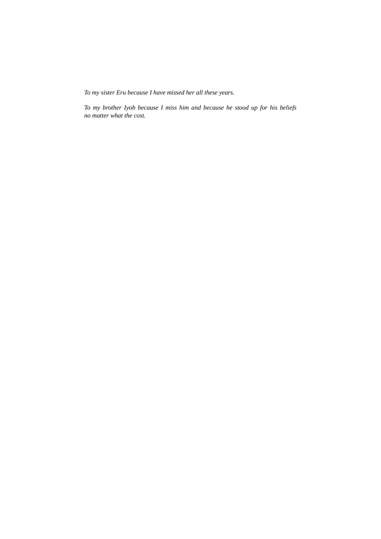*To my sister Eru because I have missed her all these years.*

*To my brother Iyob because I miss him and because he stood up for his beliefs no matter what the cost.*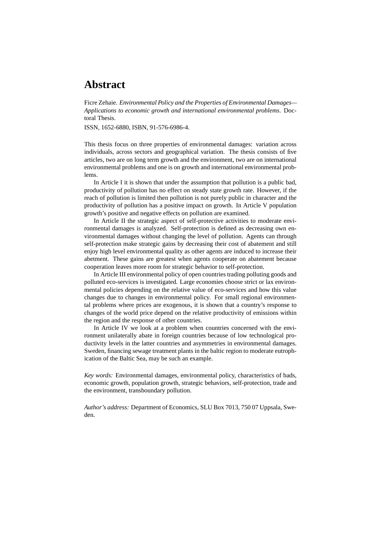### **Abstract**

Ficre Zehaie. *Environmental Policy and the Properties of Environmental Damages— Applications to economic growth and international environmental problems*. Doctoral Thesis.

ISSN, 1652-6880, ISBN, 91-576-6986-4.

This thesis focus on three properties of environmental damages: variation across individuals, across sectors and geographical variation. The thesis consists of five articles, two are on long term growth and the environment, two are on international environmental problems and one is on growth and international environmental problems.

In Article I it is shown that under the assumption that pollution is a public bad, productivity of pollution has no effect on steady state growth rate. However, if the reach of pollution is limited then pollution is not purely public in character and the productivity of pollution has a positive impact on growth. In Article V population growth's positive and negative effects on pollution are examined.

In Article II the strategic aspect of self-protective activities to moderate environmental damages is analyzed. Self-protection is defined as decreasing own environmental damages without changing the level of pollution. Agents can through self-protection make strategic gains by decreasing their cost of abatement and still enjoy high level environmental quality as other agents are induced to increase their abetment. These gains are greatest when agents cooperate on abatement because cooperation leaves more room for strategic behavior to self-protection.

In Article III environmental policy of open countries trading polluting goods and polluted eco-services is investigated. Large economies choose strict or lax environmental policies depending on the relative value of eco-services and how this value changes due to changes in environmental policy. For small regional environmental problems where prices are exogenous, it is shown that a country's response to changes of the world price depend on the relative productivity of emissions within the region and the response of other countries.

In Article IV we look at a problem when countries concerned with the environment unilaterally abate in foreign countries because of low technological productivity levels in the latter countries and asymmetries in environmental damages. Sweden, financing sewage treatment plants in the baltic region to moderate eutrophication of the Baltic Sea, may be such an example.

*Key words:* Environmental damages, environmental policy, characteristics of bads, economic growth, population growth, strategic behaviors, self-protection, trade and the environment, transboundary pollution.

*Author's address:* Department of Economics, SLU Box 7013, 750 07 Uppsala, Sweden.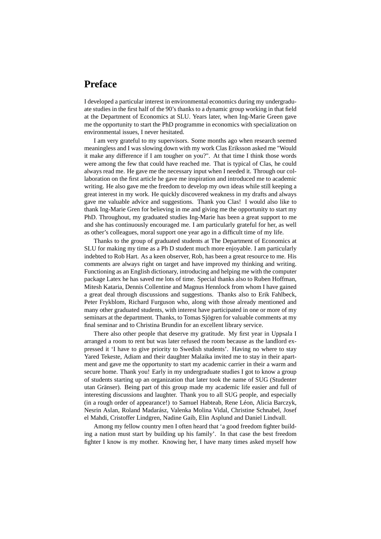## **Preface**

I developed a particular interest in environmental economics during my undergraduate studies in the first half of the 90's thanks to a dynamic group working in that field at the Department of Economics at SLU. Years later, when Ing-Marie Green gave me the opportunity to start the PhD programme in economics with specialization on environmental issues, I never hesitated.

I am very grateful to my supervisors. Some months ago when research seemed meaningless and I was slowing down with my work Clas Eriksson asked me "Would it make any difference if I am tougher on you?". At that time I think those words were among the few that could have reached me. That is typical of Clas, he could always read me. He gave me the necessary input when I needed it. Through our collaboration on the first article he gave me inspiration and introduced me to academic writing. He also gave me the freedom to develop my own ideas while still keeping a great interest in my work. He quickly discovered weakness in my drafts and always gave me valuable advice and suggestions. Thank you Clas! I would also like to thank Ing-Marie Gren for believing in me and giving me the opportunity to start my PhD. Throughout, my graduated studies Ing-Marie has been a great support to me and she has continuously encouraged me. I am particularly grateful for her, as well as other's colleagues, moral support one year ago in a difficult time of my life.

Thanks to the group of graduated students at The Department of Economics at SLU for making my time as a Ph D student much more enjoyable. I am particularly indebted to Rob Hart. As a keen observer, Rob, has been a great resource to me. His comments are always right on target and have improved my thinking and writing. Functioning as an English dictionary, introducing and helping me with the computer package Latex he has saved me lots of time. Special thanks also to Ruben Hoffman, Mitesh Kataria, Dennis Collentine and Magnus Hennlock from whom I have gained a great deal through discussions and suggestions. Thanks also to Erik Fahlbeck, Peter Frykblom, Richard Furguson who, along with those already mentioned and many other graduated students, with interest have participated in one or more of my seminars at the department. Thanks, to Tomas Sjögren for valuable comments at my final seminar and to Christina Brundin for an excellent library service.

There also other people that deserve my gratitude. My first year in Uppsala I arranged a room to rent but was later refused the room because as the landlord expressed it 'I have to give priority to Swedish students'. Having no where to stay Yared Tekeste, Adiam and their daughter Malaika invited me to stay in their apartment and gave me the opportunity to start my academic carrier in their a warm and secure home. Thank you! Early in my undergraduate studies I got to know a group of students starting up an organization that later took the name of SUG (Studenter utan Gränser). Being part of this group made my academic life easier and full of interesting discussions and laughter. Thank you to all SUG people, and especially (in a rough order of appearance!) to Samuel Habteab, Rene Léon, Alicia Barczyk, Nesrin Aslan, Roland Madarász, Valenka Molina Vidal, Christine Schnabel, Josef el Mahdi, Cristoffer Lindgren, Nadine Gaib, Elin Asplund and Daniel Lindvall.

Among my fellow country men I often heard that 'a good freedom fighter building a nation must start by building up his family'. In that case the best freedom fighter I know is my mother. Knowing her, I have many times asked myself how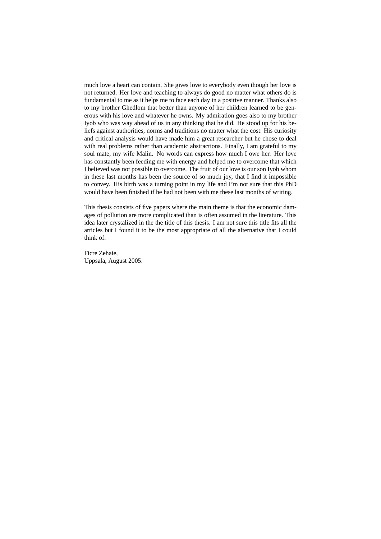much love a heart can contain. She gives love to everybody even though her love is not returned. Her love and teaching to always do good no matter what others do is fundamental to me as it helps me to face each day in a positive manner. Thanks also to my brother Ghedlom that better than anyone of her children learned to be generous with his love and whatever he owns. My admiration goes also to my brother Iyob who was way ahead of us in any thinking that he did. He stood up for his beliefs against authorities, norms and traditions no matter what the cost. His curiosity and critical analysis would have made him a great researcher but he chose to deal with real problems rather than academic abstractions. Finally, I am grateful to my soul mate, my wife Malin. No words can express how much I owe her. Her love has constantly been feeding me with energy and helped me to overcome that which I believed was not possible to overcome. The fruit of our love is our son Iyob whom in these last months has been the source of so much joy, that I find it impossible to convey. His birth was a turning point in my life and I'm not sure that this PhD would have been finished if he had not been with me these last months of writing.

This thesis consists of five papers where the main theme is that the economic damages of pollution are more complicated than is often assumed in the literature. This idea later crystalized in the the title of this thesis. I am not sure this title fits all the articles but I found it to be the most appropriate of all the alternative that I could think of.

Ficre Zehaie, Uppsala, August 2005.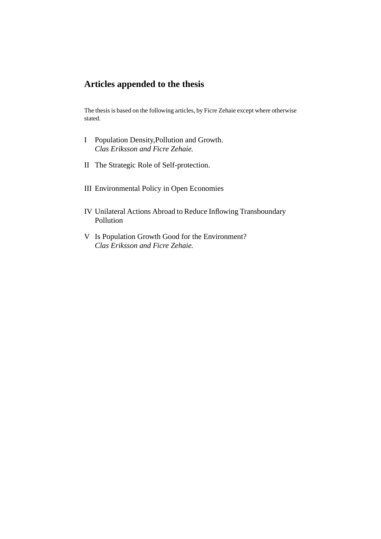## **Articles appended to the thesis**

The thesis is based on the following articles, by Ficre Zehaie except where otherwise stated.

- I Population Density,Pollution and Growth. *Clas Eriksson and Ficre Zehaie.*
- II The Strategic Role of Self-protection.
- III Environmental Policy in Open Economies
- IV Unilateral Actions Abroad to Reduce Inflowing Transboundary Pollution
- V Is Population Growth Good for the Environment? *Clas Eriksson and Ficre Zehaie.*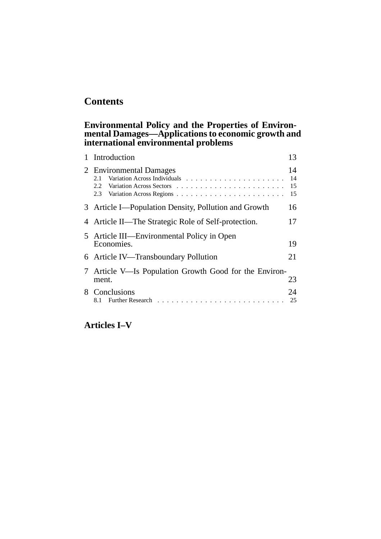## **Contents**

### **Environmental Policy and the Properties of Environmental Damages—Applications to economic growth and international environmental problems**

| 1 Introduction                                                  | 13                   |
|-----------------------------------------------------------------|----------------------|
| 2 Environmental Damages<br>2.1<br>2.2<br>2.3                    | 14<br>14<br>15<br>15 |
| 3 Article I—Population Density, Pollution and Growth            | 16                   |
| 4 Article II—The Strategic Role of Self-protection.             | 17                   |
| 5 Article III—Environmental Policy in Open<br>Economies.        | 19                   |
| 6 Article IV—Transboundary Pollution                            | 21                   |
| 7 Article V—Is Population Growth Good for the Environ-<br>ment. | 23                   |
| 8 Conclusions                                                   | 24<br>25             |

## **Articles I–V**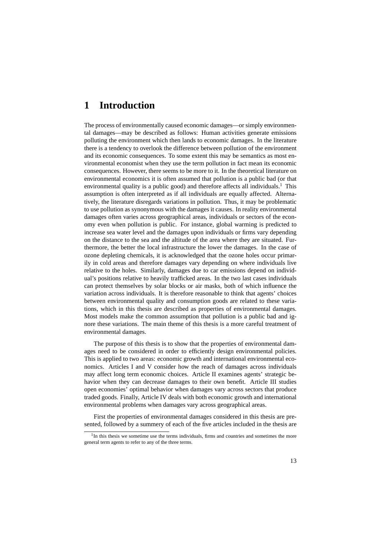### **1 Introduction**

The process of environmentally caused economic damages—or simply environmental damages—may be described as follows: Human activities generate emissions polluting the environment which then lands to economic damages. In the literature there is a tendency to overlook the difference between pollution of the environment and its economic consequences. To some extent this may be semantics as most environmental economist when they use the term pollution in fact mean its economic consequences. However, there seems to be more to it. In the theoretical literature on environmental economics it is often assumed that pollution is a public bad (or that environmental quality is a public good) and therefore affects all individuals.<sup>1</sup> This assumption is often interpreted as if all individuals are equally affected. Alternatively, the literature disregards variations in pollution. Thus, it may be problematic to use pollution as synonymous with the damages it causes. In reality environmental damages often varies across geographical areas, individuals or sectors of the economy even when pollution is public. For instance, global warming is predicted to increase sea water level and the damages upon individuals or firms vary depending on the distance to the sea and the altitude of the area where they are situated. Furthermore, the better the local infrastructure the lower the damages. In the case of ozone depleting chemicals, it is acknowledged that the ozone holes occur primarily in cold areas and therefore damages vary depending on where individuals live relative to the holes. Similarly, damages due to car emissions depend on individual's positions relative to heavily trafficked areas. In the two last cases individuals can protect themselves by solar blocks or air masks, both of which influence the variation across individuals. It is therefore reasonable to think that agents' choices between environmental quality and consumption goods are related to these variations, which in this thesis are described as properties of environmental damages. Most models make the common assumption that pollution is a public bad and ignore these variations. The main theme of this thesis is a more careful treatment of environmental damages.

The purpose of this thesis is to show that the properties of environmental damages need to be considered in order to efficiently design environmental policies. This is applied to two areas: economic growth and international environmental economics. Articles I and V consider how the reach of damages across individuals may affect long term economic choices. Article II examines agents' strategic behavior when they can decrease damages to their own benefit. Article III studies open economies' optimal behavior when damages vary across sectors that produce traded goods. Finally, Article IV deals with both economic growth and international environmental problems when damages vary across geographical areas.

First the properties of environmental damages considered in this thesis are presented, followed by a summery of each of the five articles included in the thesis are

<sup>&</sup>lt;sup>1</sup>In this thesis we sometime use the terms individuals, firms and countries and sometimes the more general term agents to refer to any of the three terms.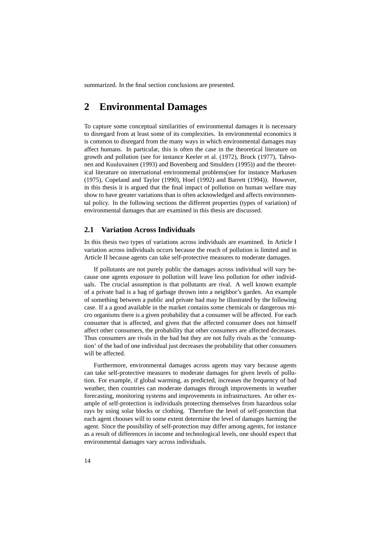summarized. In the final section conclusions are presented.

### **2 Environmental Damages**

To capture some conceptual similarities of environmental damages it is necessary to disregard from at least some of its complexities. In environmental economics it is common to disregard from the many ways in which environmental damages may affect humans. In particular, this is often the case in the theoretical literature on growth and pollution (see for instance Keeler et al. (1972), Brock (1977), Tahvonen and Kuuluvainen (1993) and Bovenberg and Smulders (1995)) and the theoretical literature on international environmental problems(see for instance Markusen (1975), Copeland and Taylor (1990), Hoel (1992) and Barrett (1994)). However, in this thesis it is argued that the final impact of pollution on human welfare may show to have greater variations than is often acknowledged and affects environmental policy. In the following sections the different properties (types of variation) of environmental damages that are examined in this thesis are discussed.

#### **2.1 Variation Across Individuals**

In this thesis two types of variations across individuals are examined. In Article I variation across individuals occurs because the reach of pollution is limited and in Article II because agents can take self-protective measures to moderate damages.

If pollutants are not purely public the damages across individual will vary because one agents exposure to pollution will leave less pollution for other individuals. The crucial assumption is that pollutants are rival. A well known example of a private bad is a bag of garbage thrown into a neighbor's garden. An example of something between a public and private bad may be illustrated by the following case. If a a good available in the market contains some chemicals or dangerous micro organisms there is a given probability that a consumer will be affected. For each consumer that is affected, and given that the affected consumer does not himself affect other consumers, the probability that other consumers are affected decreases. Thus consumers are rivals in the bad but they are not fully rivals as the 'consumption' of the bad of one individual just decreases the probability that other consumers will be affected.

Furthermore, environmental damages across agents may vary because agents can take self-protective measures to moderate damages for given levels of pollution. For example, if global warming, as predicted, increases the frequency of bad weather, then countries can moderate damages through improvements in weather forecasting, monitoring systems and improvements in infrastructures. An other example of self-protection is individuals protecting themselves from hazardous solar rays by using solar blocks or clothing. Therefore the level of self-protection that each agent chooses will to some extent determine the level of damages harming the agent. Since the possibility of self-protection may differ among agents, for instance as a result of differences in income and technological levels, one should expect that environmental damages vary across individuals.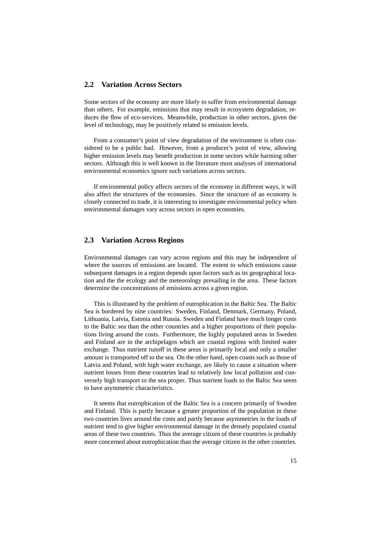#### **2.2 Variation Across Sectors**

Some sectors of the economy are more likely to suffer from environmental damage than others. For example, emissions that may result in ecosystem degradation, reduces the flow of eco-services. Meanwhile, production in other sectors, given the level of technology, may be positively related to emission levels.

From a consumer's point of view degradation of the environment is often considered to be a public bad. However, from a producer's point of view, allowing higher emission levels may benefit production in some sectors while harming other sectors. Although this is well known in the literature most analyses of international environmental economics ignore such variations across sectors.

If environmental policy affects sectors of the economy in different ways, it will also affect the structures of the economies. Since the structure of an economy is closely connected to trade, it is interesting to investigate environmental policy when environmental damages vary across sectors in open economies.

#### **2.3 Variation Across Regions**

Environmental damages can vary across regions and this may be independent of where the sources of emissions are located. The extent to which emissions cause subsequent damages in a region depends upon factors such as its geographical location and the the ecology and the meteorology prevailing in the area. These factors determine the concentrations of emissions across a given region.

This is illustrated by the problem of eutrophication in the Baltic Sea. The Baltic Sea is bordered by nine countries: Sweden, Finland, Denmark, Germany, Poland, Lithuania, Latvia, Estonia and Russia. Sweden and Finland have much longer costs to the Baltic sea than the other countries and a higher proportions of their populations living around the costs. Furthermore, the highly populated areas in Sweden and Finland are in the archipelagos which are coastal regions with limited water exchange. Thus nutrient runoff in these areas is primarily local and only a smaller amount is transported off to the sea. On the other hand, open coasts such as those of Latvia and Poland, with high water exchange, are likely to cause a situation where nutrient losses from these countries lead to relatively low local pollution and conversely high transport to the sea proper. Thus nutrient loads to the Baltic Sea seem to have asymmetric characteristics.

It seems that eutrophication of the Baltic Sea is a concern primarily of Sweden and Finland. This is partly because a greater proportion of the population in these two countries lives around the costs and partly because asymmetries in the loads of nutrient tend to give higher environmental damage in the densely populated coastal areas of these two countries. Thus the average citizen of these countries is probably more concerned about eutrophication than the average citizen in the other countries.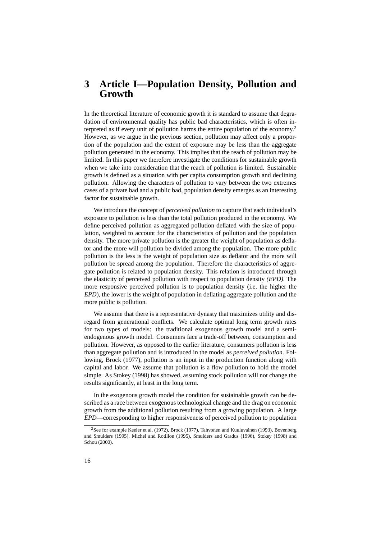### **3 Article I—Population Density, Pollution and Growth**

In the theoretical literature of economic growth it is standard to assume that degradation of environmental quality has public bad characteristics, which is often interpreted as if every unit of pollution harms the entire population of the economy.<sup>2</sup> However, as we argue in the previous section, pollution may affect only a proportion of the population and the extent of exposure may be less than the aggregate pollution generated in the economy. This implies that the reach of pollution may be limited. In this paper we therefore investigate the conditions for sustainable growth when we take into consideration that the reach of pollution is limited. Sustainable growth is defined as a situation with per capita consumption growth and declining pollution. Allowing the characters of pollution to vary between the two extremes cases of a private bad and a public bad, population density emerges as an interesting factor for sustainable growth.

We introduce the concept of *perceived pollution* to capture that each individual's exposure to pollution is less than the total pollution produced in the economy. We define perceived pollution as aggregated pollution deflated with the size of population, weighted to account for the characteristics of pollution and the population density. The more private pollution is the greater the weight of population as deflator and the more will pollution be divided among the population. The more public pollution is the less is the weight of population size as deflator and the more will pollution be spread among the population. Therefore the characteristics of aggregate pollution is related to population density. This relation is introduced through the elasticity of perceived pollution with respect to population density *(EPD)*. The more responsive perceived pollution is to population density (i.e. the higher the *EPD*), the lower is the weight of population in deflating aggregate pollution and the more public is pollution.

We assume that there is a representative dynasty that maximizes utility and disregard from generational conflicts. We calculate optimal long term growth rates for two types of models: the traditional exogenous growth model and a semiendogenous growth model. Consumers face a trade-off between, consumption and pollution. However, as opposed to the earlier literature, consumers pollution is less than aggregate pollution and is introduced in the model as *perceived pollution*. Following, Brock (1977), pollution is an input in the production function along with capital and labor. We assume that pollution is a flow pollution to hold the model simple. As Stokey (1998) has showed, assuming stock pollution will not change the results significantly, at least in the long term.

In the exogenous growth model the condition for sustainable growth can be described as a race between exogenous technological change and the drag on economic growth from the additional pollution resulting from a growing population. A large *EPD*—corresponding to higher responsiveness of perceived pollution to population

<sup>&</sup>lt;sup>2</sup>See for example Keeler et al. (1972), Brock (1977), Tahvonen and Kuuluvainen (1993), Bovenberg and Smulders (1995), Michel and Rotillon (1995), Smulders and Gradus (1996), Stokey (1998) and Schou (2000).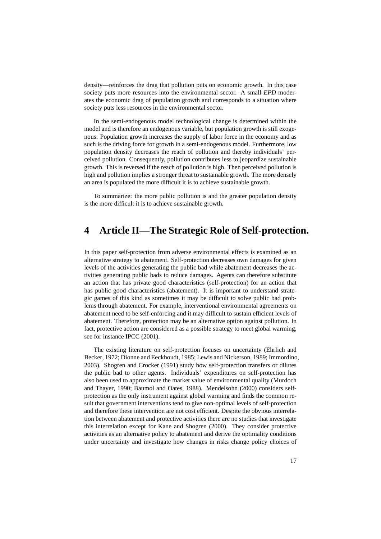density—reinforces the drag that pollution puts on economic growth. In this case society puts more resources into the environmental sector. A small *EPD* moderates the economic drag of population growth and corresponds to a situation where society puts less resources in the environmental sector.

In the semi-endogenous model technological change is determined within the model and is therefore an endogenous variable, but population growth is still exogenous. Population growth increases the supply of labor force in the economy and as such is the driving force for growth in a semi-endogenous model. Furthermore, low population density decreases the reach of pollution and thereby individuals' perceived pollution. Consequently, pollution contributes less to jeopardize sustainable growth. This is reversed if the reach of pollution is high. Then perceived pollution is high and pollution implies a stronger threat to sustainable growth. The more densely an area is populated the more difficult it is to achieve sustainable growth.

To summarize: the more public pollution is and the greater population density is the more difficult it is to achieve sustainable growth.

### **4 Article II—The Strategic Role of Self-protection.**

In this paper self-protection from adverse environmental effects is examined as an alternative strategy to abatement. Self-protection decreases own damages for given levels of the activities generating the public bad while abatement decreases the activities generating public bads to reduce damages. Agents can therefore substitute an action that has private good characteristics (self-protection) for an action that has public good characteristics (abatement). It is important to understand strategic games of this kind as sometimes it may be difficult to solve public bad problems through abatement. For example, interventional environmental agreements on abatement need to be self-enforcing and it may difficult to sustain efficient levels of abatement. Therefore, protection may be an alternative option against pollution. In fact, protective action are considered as a possible strategy to meet global warming, see for instance IPCC (2001).

The existing literature on self-protection focuses on uncertainty (Ehrlich and Becker, 1972; Dionne and Eeckhoudt, 1985; Lewis and Nickerson, 1989; Immordino, 2003). Shogren and Crocker (1991) study how self-protection transfers or dilutes the public bad to other agents. Individuals' expenditures on self-protection has also been used to approximate the market value of environmental quality (Murdoch and Thayer, 1990; Baumol and Oates, 1988). Mendelsohn (2000) considers selfprotection as the only instrument against global warming and finds the common result that government interventions tend to give non-optimal levels of self-protection and therefore these intervention are not cost efficient. Despite the obvious interrelation between abatement and protective activities there are no studies that investigate this interrelation except for Kane and Shogren (2000). They consider protective activities as an alternative policy to abatement and derive the optimality conditions under uncertainty and investigate how changes in risks change policy choices of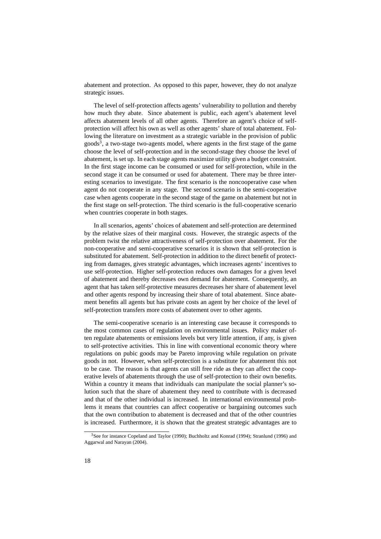abatement and protection. As opposed to this paper, however, they do not analyze strategic issues.

The level of self-protection affects agents' vulnerability to pollution and thereby how much they abate. Since abatement is public, each agent's abatement level affects abatement levels of all other agents. Therefore an agent's choice of selfprotection will affect his own as well as other agents' share of total abatement. Following the literature on investment as a strategic variable in the provision of public goods<sup>3</sup>, a two-stage two-agents model, where agents in the first stage of the game choose the level of self-protection and in the second-stage they choose the level of abatement, is set up. In each stage agents maximize utility given a budget constraint. In the first stage income can be consumed or used for self-protection, while in the second stage it can be consumed or used for abatement. There may be three interesting scenarios to investigate. The first scenario is the noncooperative case when agent do not cooperate in any stage. The second scenario is the semi-cooperative case when agents cooperate in the second stage of the game on abatement but not in the first stage on self-protection. The third scenario is the full-cooperative scenario when countries cooperate in both stages.

In all scenarios, agents' choices of abatement and self-protection are determined by the relative sizes of their marginal costs. However, the strategic aspects of the problem twist the relative attractiveness of self-protection over abatement. For the non-cooperative and semi-cooperative scenarios it is shown that self-protection is substituted for abatement. Self-protection in addition to the direct benefit of protecting from damages, gives strategic advantages, which increases agents' incentives to use self-protection. Higher self-protection reduces own damages for a given level of abatement and thereby decreases own demand for abatement. Consequently, an agent that has taken self-protective measures decreases her share of abatement level and other agents respond by increasing their share of total abatement. Since abatement benefits all agents but has private costs an agent by her choice of the level of self-protection transfers more costs of abatement over to other agents.

The semi-cooperative scenario is an interesting case because it corresponds to the most common cases of regulation on environmental issues. Policy maker often regulate abatements or emissions levels but very little attention, if any, is given to self-protective activities. This in line with conventional economic theory where regulations on pubic goods may be Pareto improving while regulation on private goods in not. However, when self-protection is a substitute for abatement this not to be case. The reason is that agents can still free ride as they can affect the cooperative levels of abatements through the use of self-protection to their own benefits. Within a country it means that individuals can manipulate the social planner's solution such that the share of abatement they need to contribute with is decreased and that of the other individual is increased. In international environmental problems it means that countries can affect cooperative or bargaining outcomes such that the own contribution to abatement is decreased and that of the other countries is increased. Furthermore, it is shown that the greatest strategic advantages are to

<sup>&</sup>lt;sup>3</sup>See for instance Copeland and Taylor (1990); Buchholtz and Konrad (1994); Stranlund (1996) and Aggarwal and Narayan (2004).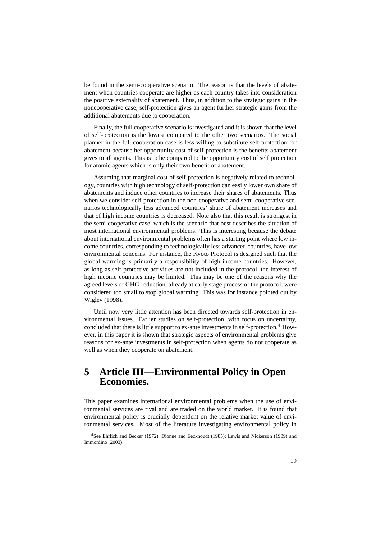be found in the semi-cooperative scenario. The reason is that the levels of abatement when countries cooperate are higher as each country takes into consideration the positive externality of abatement. Thus, in addition to the strategic gains in the noncooperative case, self-protection gives an agent further strategic gains from the additional abatements due to cooperation.

Finally, the full cooperative scenario is investigated and it is shown that the level of self-protection is the lowest compared to the other two scenarios. The social planner in the full cooperation case is less willing to substitute self-protection for abatement because her opportunity cost of self-protection is the benefits abatement gives to all agents. This is to be compared to the opportunity cost of self protection for atomic agents which is only their own benefit of abatement.

Assuming that marginal cost of self-protection is negatively related to technology, countries with high technology of self-protection can easily lower own share of abatements and induce other countries to increase their shares of abatements. Thus when we consider self-protection in the non-cooperative and semi-cooperative scenarios technologically less advanced countries' share of abatement increases and that of high income countries is decreased. Note also that this result is strongest in the semi-cooperative case, which is the scenario that best describes the situation of most international environmental problems. This is interesting because the debate about international environmental problems often has a starting point where low income countries, corresponding to technologically less advanced countries, have low environmental concerns. For instance, the Kyoto Protocol is designed such that the global warming is primarily a responsibility of high income countries. However, as long as self-protective activities are not included in the protocol, the interest of high income countries may be limited. This may be one of the reasons why the agreed levels of GHG-reduction, already at early stage process of the protocol, were considered too small to stop global warming. This was for instance pointed out by Wigley (1998).

Until now very little attention has been directed towards self-protection in environmental issues. Earlier studies on self-protection, with focus on uncertainty, concluded that there is little support to ex-ante investments in self-protection.<sup>4</sup> However, in this paper it is shown that strategic aspects of environmental problems give reasons for ex-ante investments in self-protection when agents do not cooperate as well as when they cooperate on abatement.

### **5 Article III—Environmental Policy in Open Economies.**

This paper examines international environmental problems when the use of environmental services are rival and are traded on the world market. It is found that environmental policy is crucially dependent on the relative market value of environmental services. Most of the literature investigating environmental policy in

<sup>4</sup>See Ehrlich and Becker (1972); Dionne and Eeckhoudt (1985); Lewis and Nickerson (1989) and Immordino (2003)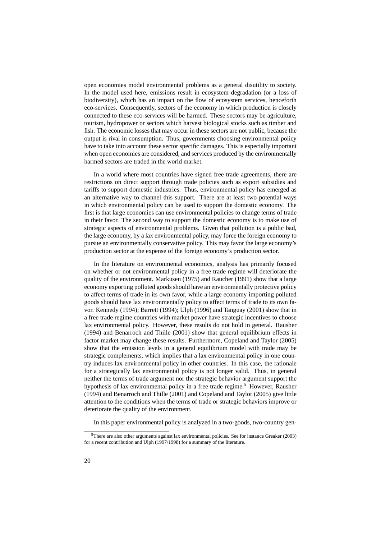open economies model environmental problems as a general disutility to society. In the model used here, emissions result in ecosystem degradation (or a loss of biodiversity), which has an impact on the flow of ecosystem services, henceforth eco-services. Consequently, sectors of the economy in which production is closely connected to these eco-services will be harmed. These sectors may be agriculture, tourism, hydropower or sectors which harvest biological stocks such as timber and fish. The economic losses that may occur in these sectors are not public, because the output is rival in consumption. Thus, governments choosing environmental policy have to take into account these sector specific damages. This is especially important when open economies are considered, and services produced by the environmentally harmed sectors are traded in the world market.

In a world where most countries have signed free trade agreements, there are restrictions on direct support through trade policies such as export subsidies and tariffs to support domestic industries. Thus, environmental policy has emerged as an alternative way to channel this support. There are at least two potential ways in which environmental policy can be used to support the domestic economy. The first is that large economies can use environmental policies to change terms of trade in their favor. The second way to support the domestic economy is to make use of strategic aspects of environmental problems. Given that pollution is a public bad, the large economy, by a lax environmental policy, may force the foreign economy to pursue an environmentally conservative policy. This may favor the large economy's production sector at the expense of the foreign economy's production sector.

In the literature on environmental economics, analysis has primarily focused on whether or not environmental policy in a free trade regime will deteriorate the quality of the environment. Markusen (1975) and Raucher (1991) show that a large economy exporting polluted goods should have an environmentally protective policy to affect terms of trade in its own favor, while a large economy importing polluted goods should have lax environmentally policy to affect terms of trade to its own favor. Kennedy (1994); Barrett (1994); Ulph (1996) and Tanguay (2001) show that in a free trade regime countries with market power have strategic incentives to choose lax environmental policy. However, these results do not hold in general. Rausher (1994) and Benarroch and Thille (2001) show that general equilibrium effects in factor market may change these results. Furthermore, Copeland and Taylor (2005) show that the emission levels in a general equilibrium model with trade may be strategic complements, which implies that a lax environmental policy in one country induces lax environmental policy in other countries. In this case, the rationale for a strategically lax environmental policy is not longer valid. Thus, in general neither the terms of trade argument nor the strategic behavior argument support the hypothesis of lax environmental policy in a free trade regime.<sup>5</sup> However, Rausher (1994) and Benarroch and Thille (2001) and Copeland and Taylor (2005) give little attention to the conditions when the terms of trade or strategic behaviors improve or deteriorate the quality of the environment.

In this paper environmental policy is analyzed in a two-goods, two-country gen-

<sup>5</sup>There are also other arguments against lax environmental policies. See for instance Greaker (2003) for a recent contribution and Ulph (1997/1998) for a summary of the literature.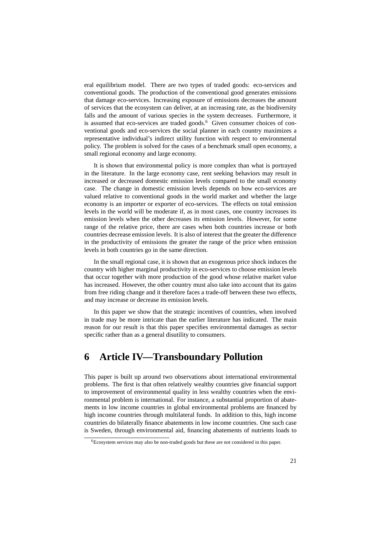eral equilibrium model. There are two types of traded goods: eco-services and conventional goods. The production of the conventional good generates emissions that damage eco-services. Increasing exposure of emissions decreases the amount of services that the ecosystem can deliver, at an increasing rate, as the biodiversity falls and the amount of various species in the system decreases. Furthermore, it is assumed that eco-services are traded goods.<sup>6</sup> Given consumer choices of conventional goods and eco-services the social planner in each country maximizes a representative individual's indirect utility function with respect to environmental policy. The problem is solved for the cases of a benchmark small open economy, a small regional economy and large economy.

It is shown that environmental policy is more complex than what is portrayed in the literature. In the large economy case, rent seeking behaviors may result in increased or decreased domestic emission levels compared to the small economy case. The change in domestic emission levels depends on how eco-services are valued relative to conventional goods in the world market and whether the large economy is an importer or exporter of eco-services. The effects on total emission levels in the world will be moderate if, as in most cases, one country increases its emission levels when the other decreases its emission levels. However, for some range of the relative price, there are cases when both countries increase or both countries decrease emission levels. It is also of interest that the greater the difference in the productivity of emissions the greater the range of the price when emission levels in both countries go in the same direction.

In the small regional case, it is shown that an exogenous price shock induces the country with higher marginal productivity in eco-services to choose emission levels that occur together with more production of the good whose relative market value has increased. However, the other country must also take into account that its gains from free riding change and it therefore faces a trade-off between these two effects, and may increase or decrease its emission levels.

In this paper we show that the strategic incentives of countries, when involved in trade may be more intricate than the earlier literature has indicated. The main reason for our result is that this paper specifies environmental damages as sector specific rather than as a general disutility to consumers.

## **6 Article IV—Transboundary Pollution**

This paper is built up around two observations about international environmental problems. The first is that often relatively wealthy countries give financial support to improvement of environmental quality in less wealthy countries when the environmental problem is international. For instance, a substantial proportion of abatements in low income countries in global environmental problems are financed by high income countries through multilateral funds. In addition to this, high income countries do bilaterally finance abatements in low income countries. One such case is Sweden, through environmental aid, financing abatements of nutrients loads to

<sup>6</sup>Ecosystem services may also be non-traded goods but these are not considered in this paper.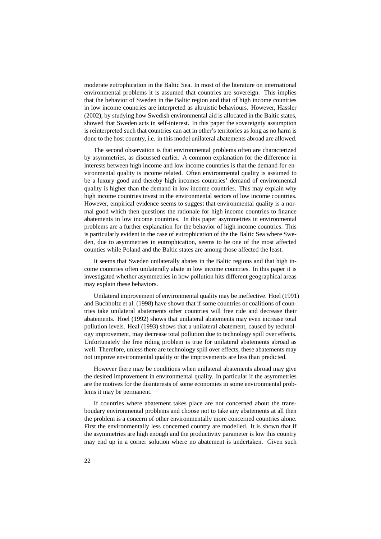moderate eutrophication in the Baltic Sea. In most of the literature on international environmental problems it is assumed that countries are sovereign. This implies that the behavior of Sweden in the Baltic region and that of high income countries in low income countries are interpreted as altruistic behaviours. However, Hassler (2002), by studying how Swedish environmental aid is allocated in the Baltic states, showed that Sweden acts in self-interest. In this paper the sovereignty assumption is reinterpreted such that countries can act in other's territories as long as no harm is done to the host country, i.e. in this model unilateral abatements abroad are allowed.

The second observation is that environmental problems often are characterized by asymmetries, as discussed earlier. A common explanation for the difference in interests between high income and low income countries is that the demand for environmental quality is income related. Often environmental quality is assumed to be a luxury good and thereby high incomes countries' demand of environmental quality is higher than the demand in low income countries. This may explain why high income countries invest in the environmental sectors of low income countries. However, empirical evidence seems to suggest that environmental quality is a normal good which then questions the rationale for high income countries to finance abatements in low income countries. In this paper asymmetries in environmental problems are a further explanation for the behavior of high income countries. This is particularly evident in the case of eutrophication of the the Baltic Sea where Sweden, due to asymmetries in eutrophication, seems to be one of the most affected counties while Poland and the Baltic states are among those affected the least.

It seems that Sweden unilaterally abates in the Baltic regions and that high income countries often unilaterally abate in low income countries. In this paper it is investigated whether asymmetries in how pollution hits different geographical areas may explain these behaviors.

Unilateral improvement of environmental quality may be ineffective. Hoel (1991) and Buchholtz et al. (1998) have shown that if some countries or coalitions of countries take unilateral abatements other countries will free ride and decrease their abatements. Hoel (1992) shows that unilateral abatements may even increase total pollution levels. Heal (1993) shows that a unilateral abatement, caused by technology improvement, may decrease total pollution due to technology spill over effects. Unfortunately the free riding problem is true for unilateral abatements abroad as well. Therefore, unless there are technology spill over effects, these abatements may not improve environmental quality or the improvements are less than predicted.

However there may be conditions when unilateral abatements abroad may give the desired improvement in environmental quality. In particular if the asymmetries are the motives for the disinterests of some economies in some environmental problems it may be permanent.

If countries where abatement takes place are not concerned about the transboudary environmental problems and choose not to take any abatements at all then the problem is a concern of other environmentally more concerned countries alone. First the environmentally less concerned country are modelled. It is shown that if the asymmetries are high enough and the productivity parameter is low this country may end up in a corner solution where no abatement is undertaken. Given such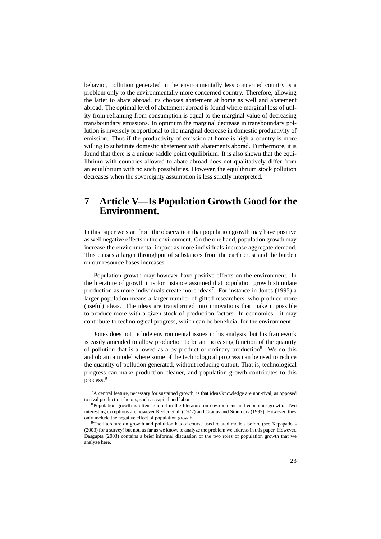behavior, pollution generated in the environmentally less concerned country is a problem only to the environmentally more concerned country. Therefore, allowing the latter to abate abroad, its chooses abatement at home as well and abatement abroad. The optimal level of abatement abroad is found where marginal loss of utility from refraining from consumption is equal to the marginal value of decreasing transboundary emissions. In optimum the marginal decrease in transboundary pollution is inversely proportional to the marginal decrease in domestic productivity of emission. Thus if the productivity of emission at home is high a country is more willing to substitute domestic abatement with abatements aborad. Furthermore, it is found that there is a unique saddle point equilibrium. It is also shown that the equilibrium with countries allowed to abate abroad does not qualitatively differ from an equilibrium with no such possibilities. However, the equilibrium stock pollution decreases when the sovereignty assumption is less strictly interpreted.

### **7 Article V—Is Population Growth Good for the Environment.**

In this paper we start from the observation that population growth may have positive as well negative effects in the environment. On the one hand, population growth may increase the environmental impact as more individuals increase aggregate demand. This causes a larger throughput of substances from the earth crust and the burden on our resource bases increases.

Population growth may however have positive effects on the environment. In the literature of growth it is for instance assumed that population growth stimulate production as more individuals create more ideas<sup>7</sup>. For instance in Jones (1995) a larger population means a larger number of gifted researchers, who produce more (useful) ideas. The ideas are transformed into innovations that make it possible to produce more with a given stock of production factors. In economics : it may contribute to technological progress, which can be beneficial for the environment.

Jones does not include environmental issues in his analysis, but his framework is easily amended to allow production to be an increasing function of the quantity of pollution that is allowed as a by-product of ordinary production<sup>8</sup>. We do this and obtain a model where some of the technological progress can be used to reduce the quantity of pollution generated, without reducing output. That is, technological progress can make production cleaner, and population growth contributes to this process.<sup>9</sup>

 $7A$  central feature, necessary for sustained growth, is that ideas/knowledge are non-rival, as opposed to rival production factors, such as capital and labor.

<sup>&</sup>lt;sup>8</sup>Population growth is often ignored in the literature on environment and economic growth. Two interesting exceptions are however Keeler et al. (1972) and Gradus and Smulders (1993). However, they only include the negative effect of population growth.

<sup>&</sup>lt;sup>9</sup>The literature on growth and pollution has of course used related models before (see Xepapadeas (2003) for a survey) but not, as far as we know, to analyze the problem we address in this paper. However, Dasgupta (2003) contains a brief informal discussion of the two roles of population growth that we analyze here.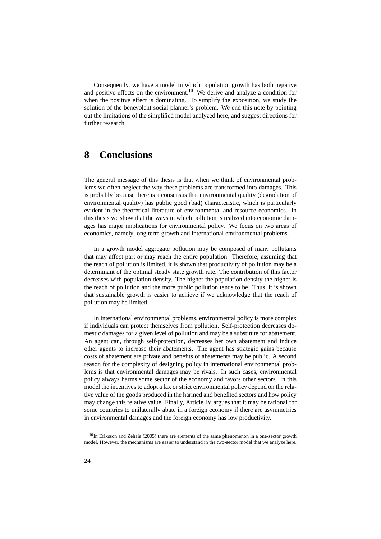Consequently, we have a model in which population growth has both negative and positive effects on the environment.<sup>10</sup> We derive and analyze a condition for when the positive effect is dominating. To simplify the exposition, we study the solution of the benevolent social planner's problem. We end this note by pointing out the limitations of the simplified model analyzed here, and suggest directions for further research.

### **8 Conclusions**

The general message of this thesis is that when we think of environmental problems we often neglect the way these problems are transformed into damages. This is probably because there is a consensus that environmental quality (degradation of environmental quality) has public good (bad) characteristic, which is particularly evident in the theoretical literature of environmental and resource economics. In this thesis we show that the ways in which pollution is realized into economic damages has major implications for environmental policy. We focus on two areas of economics, namely long term growth and international environmental problems.

In a growth model aggregate pollution may be composed of many pollutants that may affect part or may reach the entire population. Therefore, assuming that the reach of pollution is limited, it is shown that productivity of pollution may be a determinant of the optimal steady state growth rate. The contribution of this factor decreases with population density. The higher the population density the higher is the reach of pollution and the more public pollution tends to be. Thus, it is shown that sustainable growth is easier to achieve if we acknowledge that the reach of pollution may be limited.

In international environmental problems, environmental policy is more complex if individuals can protect themselves from pollution. Self-protection decreases domestic damages for a given level of pollution and may be a substitute for abatement. An agent can, through self-protection, decreases her own abatement and induce other agents to increase their abatements. The agent has strategic gains because costs of abatement are private and benefits of abatements may be public. A second reason for the complexity of designing policy in international environmental problems is that environmental damages may be rivals. In such cases, environmental policy always harms some sector of the economy and favors other sectors. In this model the incentives to adopt a lax or strict environmental policy depend on the relative value of the goods produced in the harmed and benefited sectors and how policy may change this relative value. Finally, Article IV argues that it may be rational for some countries to unilaterally abate in a foreign economy if there are asymmetries in environmental damages and the foreign economy has low productivity.

<sup>&</sup>lt;sup>10</sup>In Eriksson and Zehaie (2005) there are elements of the same phenomenon in a one-sector growth model. However, the mechanisms are easier to understand in the two-sector model that we analyze here.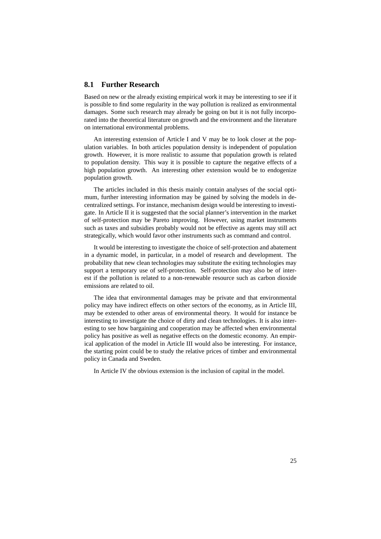#### **8.1 Further Research**

Based on new or the already existing empirical work it may be interesting to see if it is possible to find some regularity in the way pollution is realized as environmental damages. Some such research may already be going on but it is not fully incorporated into the theoretical literature on growth and the environment and the literature on international environmental problems.

An interesting extension of Article I and V may be to look closer at the population variables. In both articles population density is independent of population growth. However, it is more realistic to assume that population growth is related to population density. This way it is possible to capture the negative effects of a high population growth. An interesting other extension would be to endogenize population growth.

The articles included in this thesis mainly contain analyses of the social optimum, further interesting information may be gained by solving the models in decentralized settings. For instance, mechanism design would be interesting to investigate. In Article II it is suggested that the social planner's intervention in the market of self-protection may be Pareto improving. However, using market instruments such as taxes and subsidies probably would not be effective as agents may still act strategically, which would favor other instruments such as command and control.

It would be interesting to investigate the choice of self-protection and abatement in a dynamic model, in particular, in a model of research and development. The probability that new clean technologies may substitute the exiting technologies may support a temporary use of self-protection. Self-protection may also be of interest if the pollution is related to a non-renewable resource such as carbon dioxide emissions are related to oil.

The idea that environmental damages may be private and that environmental policy may have indirect effects on other sectors of the economy, as in Article III, may be extended to other areas of environmental theory. It would for instance be interesting to investigate the choice of dirty and clean technologies. It is also interesting to see how bargaining and cooperation may be affected when environmental policy has positive as well as negative effects on the domestic economy. An empirical application of the model in Article III would also be interesting. For instance, the starting point could be to study the relative prices of timber and environmental policy in Canada and Sweden.

In Article IV the obvious extension is the inclusion of capital in the model.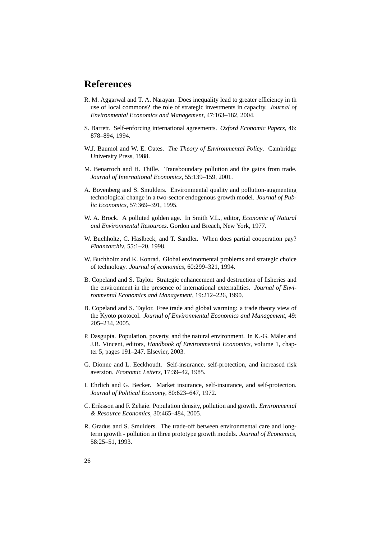## **References**

- R. M. Aggarwal and T. A. Narayan. Does inequality lead to greater efficiency in th use of local commons? the role of strategic investments in capacity. *Journal of Environmental Economics and Management*, 47:163–182, 2004.
- S. Barrett. Self-enforcing international agreements. *Oxford Economic Papers*, 46: 878–894, 1994.
- W.J. Baumol and W. E. Oates. *The Theory of Environmental Policy*. Cambridge University Press, 1988.
- M. Benarroch and H. Thille. Transboundary pollution and the gains from trade. *Journal of International Economics*, 55:139–159, 2001.
- A. Bovenberg and S. Smulders. Environmental quality and pollution-augmenting technological change in a two-sector endogenous growth model. *Journal of Public Economics*, 57:369–391, 1995.
- W. A. Brock. A polluted golden age. In Smith V.L., editor, *Economic of Natural and Environmental Resources*. Gordon and Breach, New York, 1977.
- W. Buchholtz, C. Haslbeck, and T. Sandler. When does partial cooperation pay? *Finanzarchiv*, 55:1–20, 1998.
- W. Buchholtz and K. Konrad. Global environmental problems and strategic choice of technology. *Journal of economics*, 60:299–321, 1994.
- B. Copeland and S. Taylor. Strategic enhancement and destruction of fisheries and the environment in the presence of international externalities. *Journal of Environmental Economics and Management*, 19:212–226, 1990.
- B. Copeland and S. Taylor. Free trade and global warming: a trade theory view of the Kyoto protocol. *Journal of Environmental Economics and Management*, 49: 205–234, 2005.
- P. Dasgupta. Population, poverty, and the natural environment. In K.-G. Mäler and J.R. Vincent, editors, *Handbook of Environmental Economics*, volume 1, chapter 5, pages 191–247. Elsevier, 2003.
- G. Dionne and L. Eeckhoudt. Self-insurance, self-protection, and increased risk aversion. *Economic Letters*, 17:39–42, 1985.
- I. Ehrlich and G. Becker. Market insurance, self-insurance, and self-protection. *Journal of Political Economy*, 80:623–647, 1972.
- C. Eriksson and F. Zehaie. Population density, pollution and growth. *Environmental & Resource Economics*, 30:465–484, 2005.
- R. Gradus and S. Smulders. The trade-off between environmental care and longterm growth - pollution in three prototype growth models. *Journal of Economics*, 58:25–51, 1993.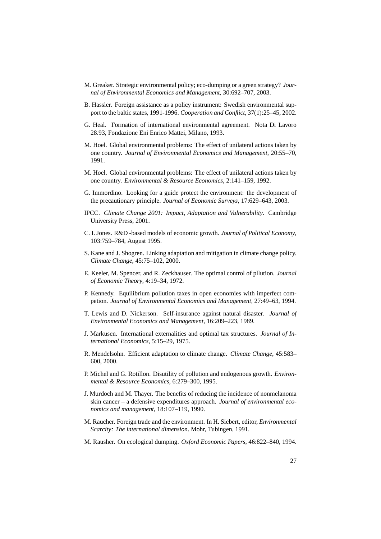- M. Greaker. Strategic environmental policy; eco-dumping or a green strategy? *Journal of Environmental Economics and Management*, 30:692–707, 2003.
- B. Hassler. Foreign assistance as a policy instrument: Swedish environmental support to the baltic states, 1991-1996. *Cooperation and Conflict*, 37(1):25–45, 2002.
- G. Heal. Formation of international environmental agreement. Nota Di Lavoro 28.93, Fondazione Eni Enrico Mattei, Milano, 1993.
- M. Hoel. Global environmental problems: The effect of unilateral actions taken by one country. *Journal of Environmental Economics and Management*, 20:55–70, 1991.
- M. Hoel. Global environmental problems: The effect of unilateral actions taken by one country. *Environmental & Resource Economics*, 2:141–159, 1992.
- G. Immordino. Looking for a guide protect the environment: the development of the precautionary principle. *Journal of Economic Surveys*, 17:629–643, 2003.
- IPCC. *Climate Change 2001: Impact, Adaptation and Vulnerability*. Cambridge University Press, 2001.
- C. I. Jones. R&D -based models of economic growth. *Journal of Political Economy*, 103:759–784, August 1995.
- S. Kane and J. Shogren. Linking adaptation and mitigation in climate change policy. *Climate Change*, 45:75–102, 2000.
- E. Keeler, M. Spencer, and R. Zeckhauser. The optimal control of pllution. *Journal of Economic Theory*, 4:19–34, 1972.
- P. Kennedy. Equilibrium pollution taxes in open economies with imperfect competion. *Journal of Environmental Economics and Management*, 27:49–63, 1994.
- T. Lewis and D. Nickerson. Self-insurance against natural disaster. *Journal of Environmental Economics and Management*, 16:209–223, 1989.
- J. Markusen. International externalities and optimal tax structures. *Journal of International Economics*, 5:15–29, 1975.
- R. Mendelsohn. Efficient adaptation to climate change. *Climate Change*, 45:583– 600, 2000.
- P. Michel and G. Rotillon. Disutility of pollution and endogenous growth. *Environmental & Resource Economics*, 6:279–300, 1995.
- J. Murdoch and M. Thayer. The benefits of reducing the incidence of nonmelanoma skin cancer – a defensive expenditures approach. *Journal of environmental economics and management*, 18:107–119, 1990.
- M. Raucher. Foreign trade and the environment. In H. Siebert, editor, *Environmental Scarcity: The international dimension*. Mohr, Tubingen, 1991.
- M. Rausher. On ecological dumping. *Oxford Economic Papers*, 46:822–840, 1994.